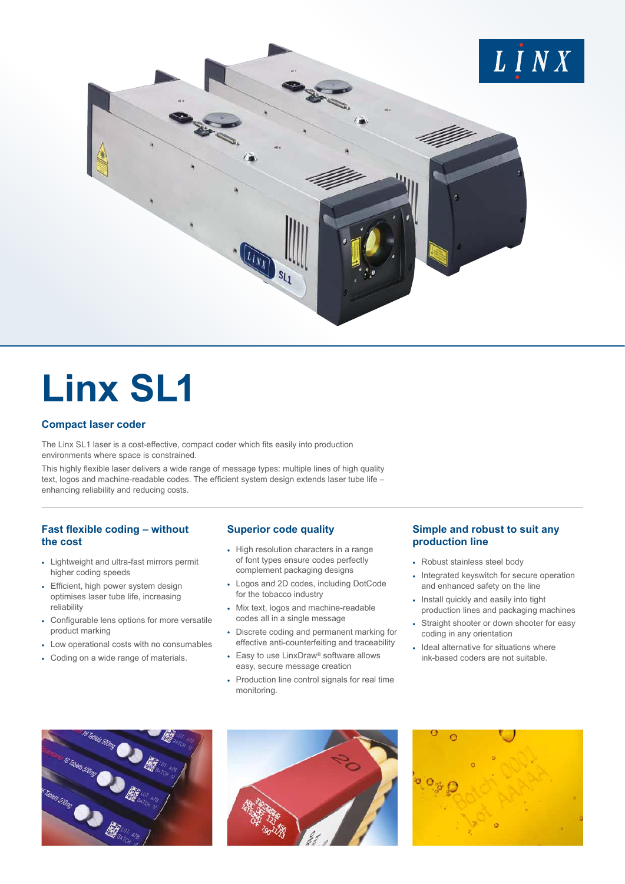

# **Linx SL1**

### **Compact laser coder**

The Linx SL1 laser is a cost-effective, compact coder which fits easily into production environments where space is constrained.

This highly flexible laser delivers a wide range of message types: multiple lines of high quality text, logos and machine-readable codes. The efficient system design extends laser tube life – enhancing reliability and reducing costs.

## **Fast flexible coding – without the cost**

- Lightweight and ultra-fast mirrors permit higher coding speeds
- Efficient, high power system design optimises laser tube life, increasing reliability
- Configurable lens options for more versatile product marking
- Low operational costs with no consumables
- Coding on a wide range of materials.

### **Superior code quality**

- High resolution characters in a range of font types ensure codes perfectly complement packaging designs
- Logos and 2D codes, including DotCode for the tobacco industry
- Mix text, logos and machine-readable codes all in a single message
- Discrete coding and permanent marking for effective anti-counterfeiting and traceability
- Easy to use LinxDraw® software allows easy, secure message creation
- Production line control signals for real time monitoring.

## **Simple and robust to suit any production line**

- Robust stainless steel body
- Integrated keyswitch for secure operation and enhanced safety on the line
- Install quickly and easily into tight production lines and packaging machines
- Straight shooter or down shooter for easy coding in any orientation
- Ideal alternative for situations where ink-based coders are not suitable.